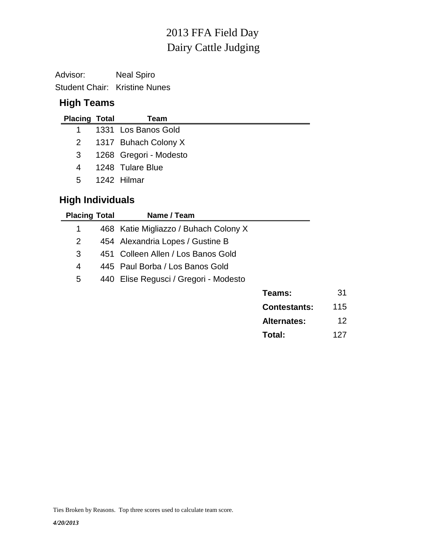# Dairy Cattle Judging 2013 FFA Field Day

Advisor: Neal Spiro Student Chair: Kristine Nunes

## **High Teams**

| <b>Placing Total</b> | Team                     |
|----------------------|--------------------------|
|                      | 1 1331 Los Banos Gold    |
|                      | 2 1317 Buhach Colony X   |
|                      | 3 1268 Gregori - Modesto |
| 4                    | 1248 Tulare Blue         |
| 5 <sup>5</sup>       | -1242 Hilmar             |
|                      |                          |

## **High Individuals**

| <b>Placing Total</b> | Name / Team                           |                     |     |
|----------------------|---------------------------------------|---------------------|-----|
| 1                    | 468 Katie Migliazzo / Buhach Colony X |                     |     |
| 2                    | 454 Alexandria Lopes / Gustine B      |                     |     |
| 3                    | 451 Colleen Allen / Los Banos Gold    |                     |     |
| 4                    | 445 Paul Borba / Los Banos Gold       |                     |     |
| 5                    | 440 Elise Regusci / Gregori - Modesto |                     |     |
|                      |                                       | Teams:              | 31  |
|                      |                                       | <b>Contestants:</b> | 115 |
|                      |                                       | <b>Alternates:</b>  | 12  |
|                      |                                       | Total:              | 127 |

Ties Broken by Reasons. Top three scores used to calculate team score.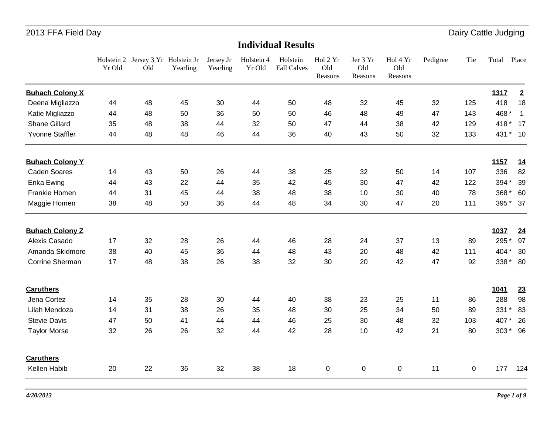|                        | Yr Old | Holstein 2 Jersey 3 Yr Holstein Jr<br>Old | Yearling | Jersey Jr<br>Yearling | Holstein 4<br>Yr Old | Holstein<br><b>Fall Calves</b> | Hol 2 Yr<br>Old<br>Reasons | Jer 3 Yr<br>Old<br>Reasons | Hol 4 Yr<br>Old<br>Reasons | Pedigree | Tie | Total          | Place          |
|------------------------|--------|-------------------------------------------|----------|-----------------------|----------------------|--------------------------------|----------------------------|----------------------------|----------------------------|----------|-----|----------------|----------------|
| <b>Buhach Colony X</b> |        |                                           |          |                       |                      |                                |                            |                            |                            |          |     | 1317           | $\overline{2}$ |
| Deena Migliazzo        | 44     | 48                                        | 45       | 30                    | 44                   | 50                             | 48                         | 32                         | 45                         | 32       | 125 | 418            | 18             |
| Katie Migliazzo        | 44     | 48                                        | 50       | 36                    | 50                   | 50                             | 46                         | 48                         | 49                         | 47       | 143 | 468*           | $\overline{1}$ |
| <b>Shane Gillard</b>   | 35     | 48                                        | 38       | 44                    | 32                   | 50                             | 47                         | 44                         | 38                         | 42       | 129 | 418 * 17       |                |
| Yvonne Staffler        | 44     | 48                                        | 48       | 46                    | 44                   | 36                             | 40                         | 43                         | 50                         | 32       | 133 | 431 * 10       |                |
| <b>Buhach Colony Y</b> |        |                                           |          |                       |                      |                                |                            |                            |                            |          |     | 1157           | 14             |
| <b>Caden Soares</b>    | 14     | 43                                        | 50       | 26                    | 44                   | 38                             | 25                         | 32                         | 50                         | 14       | 107 | 336            | 82             |
| Erika Ewing            | 44     | 43                                        | 22       | 44                    | 35                   | 42                             | 45                         | 30                         | 47                         | 42       | 122 | 394 *          | 39             |
| Frankie Homen          | 44     | 31                                        | 45       | 44                    | 38                   | 48                             | 38                         | 10                         | 30                         | 40       | 78  | 368 *          | 60             |
| Maggie Homen           | 38     | 48                                        | 50       | 36                    | 44                   | 48                             | 34                         | 30                         | 47                         | 20       | 111 | 395 * 37       |                |
| <b>Buhach Colony Z</b> |        |                                           |          |                       |                      |                                |                            |                            |                            |          |     | 1037           | 24             |
| Alexis Casado          | 17     | 32                                        | 28       | 26                    | 44                   | 46                             | 28                         | 24                         | 37                         | 13       | 89  | 295*           | 97             |
| Amanda Skidmore        | 38     | 40                                        | 45       | 36                    | 44                   | 48                             | 43                         | 20                         | 48                         | 42       | 111 | 404 *          | 30             |
| Corrine Sherman        | 17     | 48                                        | 38       | 26                    | 38                   | 32                             | 30                         | 20                         | 42                         | 47       | 92  | 338 * 80       |                |
| <b>Caruthers</b>       |        |                                           |          |                       |                      |                                |                            |                            |                            |          |     | 1041           | 23             |
| Jena Cortez            | 14     | 35                                        | 28       | 30                    | 44                   | 40                             | 38                         | 23                         | 25                         | 11       | 86  | 288            | 98             |
| Lilah Mendoza          | 14     | 31                                        | 38       | 26                    | 35                   | 48                             | 30                         | 25                         | 34                         | 50       | 89  | 331<br>$\star$ | 83             |
| <b>Stevie Davis</b>    | 47     | 50                                        | 41       | 44                    | 44                   | 46                             | 25                         | 30                         | 48                         | 32       | 103 | 407*           | 26             |
| <b>Taylor Morse</b>    | 32     | 26                                        | 26       | 32                    | 44                   | 42                             | 28                         | 10                         | 42                         | 21       | 80  | 303 * 96       |                |
| <b>Caruthers</b>       |        |                                           |          |                       |                      |                                |                            |                            |                            |          |     |                |                |
| Kellen Habib           | 20     | 22                                        | 36       | 32                    | 38                   | 18                             | $\pmb{0}$                  | $\pmb{0}$                  | 0                          | 11       | 0   | 177            | 124            |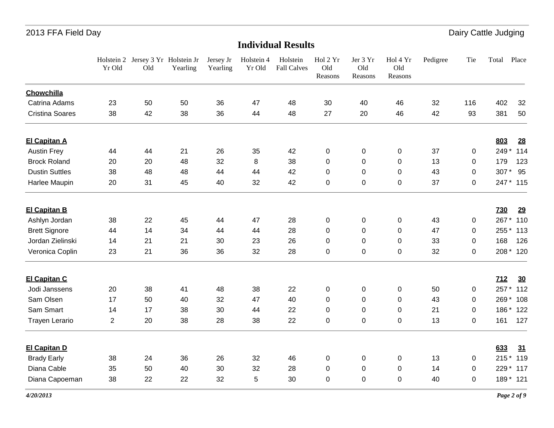|                        | Yr Old         | Holstein 2 Jersey 3 Yr Holstein Jr<br>Old | Yearling | Jersey Jr<br>Yearling | Holstein 4<br>Yr Old | Holstein<br><b>Fall Calves</b> | Hol 2 Yr<br>Old<br>Reasons | Jer 3 Yr<br>Old<br>Reasons | Hol 4 Yr<br>Old<br>Reasons | Pedigree | Tie         | Total      | Place     |
|------------------------|----------------|-------------------------------------------|----------|-----------------------|----------------------|--------------------------------|----------------------------|----------------------------|----------------------------|----------|-------------|------------|-----------|
| Chowchilla             |                |                                           |          |                       |                      |                                |                            |                            |                            |          |             |            |           |
| Catrina Adams          | 23             | 50                                        | 50       | 36                    | 47                   | 48                             | 30                         | 40                         | 46                         | 32       | 116         | 402        | 32        |
| <b>Cristina Soares</b> | 38             | 42                                        | 38       | 36                    | 44                   | 48                             | 27                         | 20                         | 46                         | 42       | 93          | 381        | 50        |
| <b>El Capitan A</b>    |                |                                           |          |                       |                      |                                |                            |                            |                            |          |             | 803        | 28        |
| <b>Austin Frey</b>     | 44             | 44                                        | 21       | 26                    | 35                   | 42                             | 0                          | 0                          | 0                          | 37       | 0           | 249*       | 114       |
| <b>Brock Roland</b>    | 20             | 20                                        | 48       | 32                    | 8                    | 38                             | 0                          | 0                          | 0                          | 13       | 0           | 179        | 123       |
| <b>Dustin Suttles</b>  | 38             | 48                                        | 48       | 44                    | 44                   | 42                             | 0                          | 0                          | 0                          | 43       | 0           | 307*       | 95        |
| Harlee Maupin          | 20             | 31                                        | 45       | 40                    | 32                   | 42                             | 0                          | 0                          | $\mathbf 0$                | 37       | 0           |            | 247 * 115 |
| <b>El Capitan B</b>    |                |                                           |          |                       |                      |                                |                            |                            |                            |          |             | <b>730</b> | 29        |
| Ashlyn Jordan          | 38             | 22                                        | 45       | 44                    | 47                   | 28                             | 0                          | 0                          | $\mathbf 0$                | 43       | 0           | 267*       | 110       |
| <b>Brett Signore</b>   | 44             | 14                                        | 34       | 44                    | 44                   | 28                             | $\Omega$                   | $\Omega$                   | $\Omega$                   | 47       | $\Omega$    | 255 *      | 113       |
| Jordan Zielinski       | 14             | 21                                        | 21       | 30                    | 23                   | 26                             | 0                          | 0                          | 0                          | 33       | 0           | 168        | 126       |
| Veronica Coplin        | 23             | 21                                        | 36       | 36                    | 32                   | 28                             | 0                          | 0                          | $\mathbf 0$                | 32       | 0           |            | 208 * 120 |
| <b>El Capitan C</b>    |                |                                           |          |                       |                      |                                |                            |                            |                            |          |             | 712        | 30        |
| Jodi Janssens          | 20             | 38                                        | 41       | 48                    | 38                   | 22                             | 0                          | 0                          | $\mathbf 0$                | 50       | 0           | 257*       | 112       |
| Sam Olsen              | 17             | 50                                        | 40       | 32                    | 47                   | 40                             | 0                          | 0                          | 0                          | 43       | 0           | 269*       | 108       |
| Sam Smart              | 14             | 17                                        | 38       | 30                    | 44                   | 22                             | 0                          | 0                          | 0                          | 21       | 0           | 186*       | 122       |
| <b>Trayen Lerario</b>  | $\overline{c}$ | 20                                        | 38       | 28                    | 38                   | 22                             | 0                          | 0                          | $\mathbf 0$                | 13       | 0           | 161        | 127       |
| <b>El Capitan D</b>    |                |                                           |          |                       |                      |                                |                            |                            |                            |          |             | 633        | 31        |
| <b>Brady Early</b>     | 38             | 24                                        | 36       | 26                    | 32                   | 46                             | 0                          | 0                          | 0                          | 13       | 0           |            | 215 * 119 |
| Diana Cable            | 35             | 50                                        | 40       | 30                    | 32                   | 28                             | 0                          | 0                          | 0                          | 14       | $\mathbf 0$ |            | 229 * 117 |
| Diana Capoeman         | 38             | 22                                        | 22       | 32                    | 5                    | 30                             | 0                          | 0                          | 0                          | 40       | 0           |            | 189 * 121 |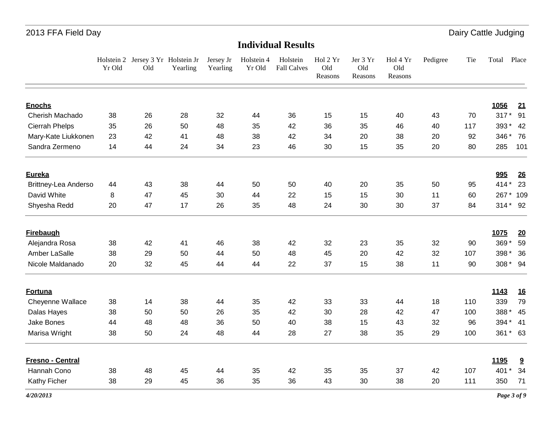|                       | Yr Old | Holstein 2 Jersey 3 Yr Holstein Jr<br>Old | Yearling | Jersey Jr<br>Yearling | Holstein 4<br>Yr Old | Holstein<br><b>Fall Calves</b> | Hol 2 Yr<br>Old<br>Reasons | Jer 3 Yr<br>Old<br>Reasons | Hol 4 Yr<br>Old<br>Reasons | Pedigree | Tie | Total Place |           |
|-----------------------|--------|-------------------------------------------|----------|-----------------------|----------------------|--------------------------------|----------------------------|----------------------------|----------------------------|----------|-----|-------------|-----------|
| <b>Enochs</b>         |        |                                           |          |                       |                      |                                |                            |                            |                            |          |     | 1056        |           |
| Cherish Machado       | 38     | 26                                        | 28       | 32                    | 44                   | 36                             | 15                         | 15                         | 40                         | 43       | 70  | 317 * 91    | 21        |
| <b>Cierrah Phelps</b> | 35     | 26                                        | 50       | 48                    | 35                   | 42                             | 36                         | 35                         | 46                         | 40       | 117 | 393 * 42    |           |
| Mary-Kate Liukkonen   | 23     | 42                                        | 41       | 48                    | 38                   | 42                             | 34                         | 20                         | 38                         | 20       | 92  | 346 *       | 76        |
| Sandra Zermeno        | 14     | 44                                        | 24       | 34                    | 23                   | 46                             | 30                         | 15                         | 35                         | 20       | 80  | 285         | 101       |
| <b>Eureka</b>         |        |                                           |          |                       |                      |                                |                            |                            |                            |          |     | 995         | 26        |
| Brittney-Lea Anderso  | 44     | 43                                        | 38       | 44                    | 50                   | 50                             | 40                         | 20                         | 35                         | 50       | 95  | $414*$      | 23        |
| David White           | 8      | 47                                        | 45       | 30                    | 44                   | 22                             | 15                         | 15                         | 30                         | 11       | 60  | 267*        | 109       |
| Shyesha Redd          | 20     | 47                                        | 17       | 26                    | 35                   | 48                             | 24                         | 30                         | 30                         | 37       | 84  | 314 * 92    |           |
| <b>Firebaugh</b>      |        |                                           |          |                       |                      |                                |                            |                            |                            |          |     | 1075        | 20        |
| Alejandra Rosa        | 38     | 42                                        | 41       | 46                    | 38                   | 42                             | 32                         | 23                         | 35                         | 32       | 90  | 369*        | 59        |
| Amber LaSalle         | 38     | 29                                        | 50       | 44                    | 50                   | 48                             | 45                         | 20                         | 42                         | 32       | 107 | 398 *       | - 36      |
| Nicole Maldanado      | 20     | 32                                        | 45       | 44                    | 44                   | 22                             | 37                         | 15                         | 38                         | 11       | 90  | 308 * 94    |           |
| <b>Fortuna</b>        |        |                                           |          |                       |                      |                                |                            |                            |                            |          |     | 1143        | <u>16</u> |
| Cheyenne Wallace      | 38     | 14                                        | 38       | 44                    | 35                   | 42                             | 33                         | 33                         | 44                         | 18       | 110 | 339         | 79        |
| Dalas Hayes           | 38     | 50                                        | 50       | 26                    | 35                   | 42                             | 30                         | 28                         | 42                         | 47       | 100 | 388 *       | 45        |
| <b>Jake Bones</b>     | 44     | 48                                        | 48       | 36                    | 50                   | 40                             | 38                         | 15                         | 43                         | 32       | 96  | 394 * 41    |           |
| Marisa Wright         | 38     | 50                                        | 24       | 48                    | 44                   | 28                             | 27                         | 38                         | 35                         | 29       | 100 | 361 * 63    |           |
| Fresno - Central      |        |                                           |          |                       |                      |                                |                            |                            |                            |          |     | 1195        | 9         |
| Hannah Cono           | 38     | 48                                        | 45       | 44                    | 35                   | 42                             | 35                         | 35                         | 37                         | 42       | 107 | 401         | 34        |
| Kathy Ficher          | 38     | 29                                        | 45       | 36                    | 35                   | 36                             | 43                         | 30                         | 38                         | 20       | 111 | 350         | 71        |
| 4/20/2013             |        |                                           |          |                       |                      |                                |                            |                            |                            |          |     | Page 3 of 9 |           |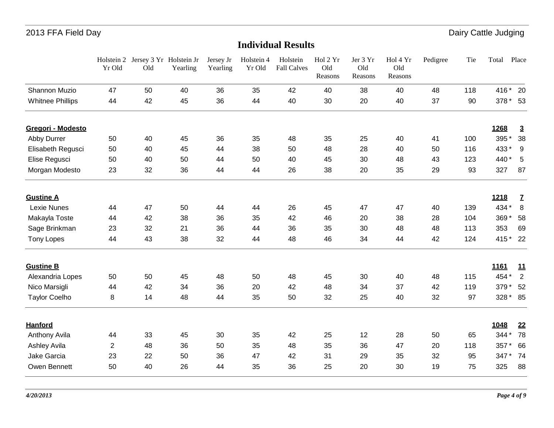|                         | Holstein 2<br>Yr Old | Jersey 3 Yr Holstein Jr<br>Old | Yearling | Jersey Jr<br>Yearling | Holstein 4<br>Yr Old | Holstein<br><b>Fall Calves</b> | Hol 2 Yr<br>Old<br>Reasons | Jer 3 Yr<br>Old<br>Reasons | Hol 4 Yr<br>Old<br>Reasons | Pedigree | Tie | Total    | Place          |
|-------------------------|----------------------|--------------------------------|----------|-----------------------|----------------------|--------------------------------|----------------------------|----------------------------|----------------------------|----------|-----|----------|----------------|
| Shannon Muzio           | 47                   | 50                             | 40       | 36                    | 35                   | 42                             | 40                         | 38                         | 40                         | 48       | 118 | 416 * 20 |                |
| <b>Whitnee Phillips</b> | 44                   | 42                             | 45       | 36                    | 44                   | 40                             | 30                         | 20                         | 40                         | 37       | 90  | 378 * 53 |                |
| Gregori - Modesto       |                      |                                |          |                       |                      |                                |                            |                            |                            |          |     | 1268     | $\overline{3}$ |
| Abby Durrer             | 50                   | 40                             | 45       | 36                    | 35                   | 48                             | 35                         | 25                         | 40                         | 41       | 100 | 395 *    | 38             |
| Elisabeth Regusci       | 50                   | 40                             | 45       | 44                    | 38                   | 50                             | 48                         | 28                         | 40                         | 50       | 116 | 433*     | 9              |
| Elise Regusci           | 50                   | 40                             | 50       | 44                    | 50                   | 40                             | 45                         | 30                         | 48                         | 43       | 123 | 440 *    | 5              |
| Morgan Modesto          | 23                   | 32                             | 36       | 44                    | 44                   | 26                             | 38                         | 20                         | 35                         | 29       | 93  | 327      | 87             |
| <b>Gustine A</b>        |                      |                                |          |                       |                      |                                |                            |                            |                            |          |     | 1218     | $\mathbf{Z}$   |
| Lexie Nunes             | 44                   | 47                             | 50       | 44                    | 44                   | 26                             | 45                         | 47                         | 47                         | 40       | 139 | 434 *    | 8              |
| Makayla Toste           | 44                   | 42                             | 38       | 36                    | 35                   | 42                             | 46                         | 20                         | 38                         | 28       | 104 | 369*     | 58             |
| Sage Brinkman           | 23                   | 32                             | 21       | 36                    | 44                   | 36                             | 35                         | 30                         | 48                         | 48       | 113 | 353      | 69             |
| <b>Tony Lopes</b>       | 44                   | 43                             | 38       | 32                    | 44                   | 48                             | 46                         | 34                         | 44                         | 42       | 124 | 415 * 22 |                |
| <b>Gustine B</b>        |                      |                                |          |                       |                      |                                |                            |                            |                            |          |     | 1161     | <u>11</u>      |
| Alexandria Lopes        | 50                   | 50                             | 45       | 48                    | 50                   | 48                             | 45                         | 30                         | 40                         | 48       | 115 | 454 *    | $\overline{2}$ |
| Nico Marsigli           | 44                   | 42                             | 34       | 36                    | 20                   | 42                             | 48                         | 34                         | 37                         | 42       | 119 | 379      | 52             |
| <b>Taylor Coelho</b>    | 8                    | 14                             | 48       | 44                    | 35                   | 50                             | 32                         | 25                         | 40                         | 32       | 97  | 328 * 85 |                |
| <b>Hanford</b>          |                      |                                |          |                       |                      |                                |                            |                            |                            |          |     | 1048     | 22             |
| Anthony Avila           | 44                   | 33                             | 45       | 30                    | 35                   | 42                             | 25                         | 12                         | 28                         | 50       | 65  | 344 *    | 78             |
| <b>Ashley Avila</b>     | $\overline{2}$       | 48                             | 36       | 50                    | 35                   | 48                             | 35                         | 36                         | 47                         | 20       | 118 | 357      | 66             |
| Jake Garcia             | 23                   | 22                             | 50       | 36                    | 47                   | 42                             | 31                         | 29                         | 35                         | 32       | 95  | 347*     | 74             |
| Owen Bennett            | 50                   | 40                             | 26       | 44                    | 35                   | 36                             | 25                         | 20                         | 30                         | 19       | 75  | 325      | 88             |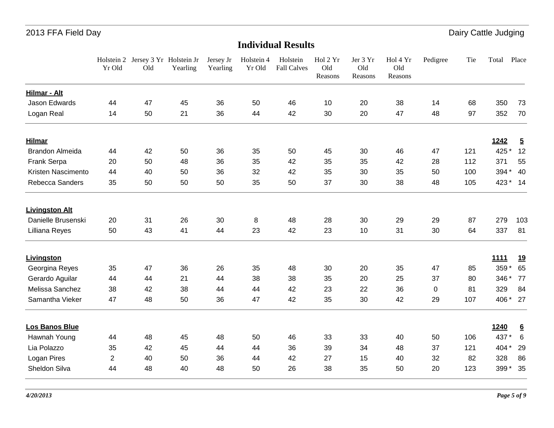|                       | Yr Old         | Holstein 2 Jersey 3 Yr Holstein Jr<br>Old | Yearling | Jersey Jr<br>Yearling | Holstein 4<br>Yr Old | Holstein<br><b>Fall Calves</b> | Hol 2 Yr<br>Old<br>Reasons | Jer 3 Yr<br>Old<br>Reasons | Hol 4 Yr<br>Old<br>Reasons | Pedigree  | Tie | Total       | Place           |
|-----------------------|----------------|-------------------------------------------|----------|-----------------------|----------------------|--------------------------------|----------------------------|----------------------------|----------------------------|-----------|-----|-------------|-----------------|
| Hilmar - Alt          |                |                                           |          |                       |                      |                                |                            |                            |                            |           |     |             |                 |
| Jason Edwards         | 44             | 47                                        | 45       | 36                    | 50                   | 46                             | 10                         | 20                         | 38                         | 14        | 68  | 350         | 73              |
| Logan Real            | 14             | 50                                        | 21       | 36                    | 44                   | 42                             | 30                         | 20                         | 47                         | 48        | 97  | 352         | 70              |
| <b>Hilmar</b>         |                |                                           |          |                       |                      |                                |                            |                            |                            |           |     | 1242        | $\overline{5}$  |
| Brandon Almeida       | 44             | 42                                        | 50       | 36                    | 35                   | 50                             | 45                         | 30                         | 46                         | 47        | 121 | 425 *       | 12              |
| Frank Serpa           | 20             | 50                                        | 48       | 36                    | 35                   | 42                             | 35                         | 35                         | 42                         | 28        | 112 | 371         | 55              |
| Kristen Nascimento    | 44             | 40                                        | 50       | 36                    | 32                   | 42                             | 35                         | 30                         | 35                         | 50        | 100 | 394 *       | 40              |
| Rebecca Sanders       | 35             | 50                                        | 50       | 50                    | 35                   | 50                             | 37                         | 30                         | 38                         | 48        | 105 | 423 * 14    |                 |
| <b>Livingston Alt</b> |                |                                           |          |                       |                      |                                |                            |                            |                            |           |     |             |                 |
| Danielle Brusenski    | 20             | 31                                        | 26       | 30                    | 8                    | 48                             | 28                         | 30                         | 29                         | 29        | 87  | 279         | 103             |
| Lilliana Reyes        | 50             | 43                                        | 41       | 44                    | 23                   | 42                             | 23                         | 10                         | 31                         | 30        | 64  | 337         | 81              |
| <b>Livingston</b>     |                |                                           |          |                       |                      |                                |                            |                            |                            |           |     | <b>1111</b> | <u>19</u>       |
| Georgina Reyes        | 35             | 47                                        | 36       | 26                    | 35                   | 48                             | 30                         | 20                         | 35                         | 47        | 85  | 359 *       | 65              |
| Gerardo Aguilar       | 44             | 44                                        | 21       | 44                    | 38                   | 38                             | 35                         | 20                         | 25                         | 37        | 80  | 346 *       | 77              |
| Melissa Sanchez       | 38             | 42                                        | 38       | 44                    | 44                   | 42                             | 23                         | 22                         | 36                         | $\pmb{0}$ | 81  | 329         | 84              |
| Samantha Vieker       | 47             | 48                                        | 50       | 36                    | 47                   | 42                             | 35                         | 30                         | 42                         | 29        | 107 | 406 *       | 27              |
| Los Banos Blue        |                |                                           |          |                       |                      |                                |                            |                            |                            |           |     | 1240        | $6\overline{6}$ |
| Hawnah Young          | 44             | 48                                        | 45       | 48                    | 50                   | 46                             | 33                         | 33                         | 40                         | 50        | 106 | 437 *       | 6               |
| Lia Polazzo           | 35             | 42                                        | 45       | 44                    | 44                   | 36                             | 39                         | 34                         | 48                         | 37        | 121 | 404 *       | 29              |
| Logan Pires           | $\overline{2}$ | 40                                        | 50       | 36                    | 44                   | 42                             | 27                         | 15                         | 40                         | 32        | 82  | 328         | 86              |
| Sheldon Silva         | 44             | 48                                        | 40       | 48                    | 50                   | 26                             | 38                         | 35                         | 50                         | 20        | 123 | 399*        | 35              |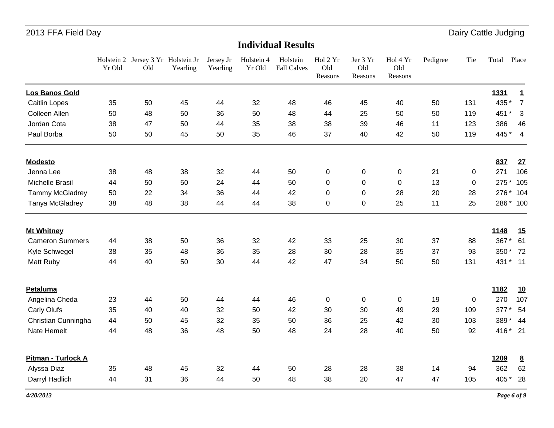|                        | Yr Old | Holstein 2 Jersey 3 Yr Holstein Jr<br>Old | Yearling | Jersey Jr<br>Yearling | Holstein 4<br>Yr Old | Holstein<br><b>Fall Calves</b> | Hol 2 Yr<br>Old<br>Reasons | Jer 3 Yr<br>Old<br>Reasons | Hol 4 Yr<br>Old<br>Reasons | Pedigree | Tie | Total     | Place           |
|------------------------|--------|-------------------------------------------|----------|-----------------------|----------------------|--------------------------------|----------------------------|----------------------------|----------------------------|----------|-----|-----------|-----------------|
| Los Banos Gold         |        |                                           |          |                       |                      |                                |                            |                            |                            |          |     | 1331      | 1               |
| <b>Caitlin Lopes</b>   | 35     | 50                                        | 45       | 44                    | 32                   | 48                             | 46                         | 45                         | 40                         | 50       | 131 | 435 *     | $\overline{7}$  |
| Colleen Allen          | 50     | 48                                        | 50       | 36                    | 50                   | 48                             | 44                         | 25                         | 50                         | 50       | 119 | 451 *     | 3               |
| Jordan Cota            | 38     | 47                                        | 50       | 44                    | 35                   | 38                             | 38                         | 39                         | 46                         | 11       | 123 | 386       | 46              |
| Paul Borba             | 50     | 50                                        | 45       | 50                    | 35                   | 46                             | 37                         | 40                         | 42                         | 50       | 119 | 445 * 4   |                 |
| <b>Modesto</b>         |        |                                           |          |                       |                      |                                |                            |                            |                            |          |     | 837       | 27              |
| Jenna Lee              | 38     | 48                                        | 38       | 32                    | 44                   | 50                             | 0                          | $\pmb{0}$                  | $\mathbf 0$                | 21       | 0   | 271       | 106             |
| Michelle Brasil        | 44     | 50                                        | 50       | 24                    | 44                   | 50                             | 0                          | $\mathbf 0$                | $\Omega$                   | 13       | 0   | 275 *     | 105             |
| Tammy McGladrey        | 50     | 22                                        | 34       | 36                    | 44                   | 42                             | 0                          | $\mathbf 0$                | 28                         | 20       | 28  | 276 *     | 104             |
| Tanya McGladrey        | 38     | 48                                        | 38       | 44                    | 44                   | 38                             | $\pmb{0}$                  | $\pmb{0}$                  | 25                         | 11       | 25  | 286 * 100 |                 |
| <b>Mt Whitney</b>      |        |                                           |          |                       |                      |                                |                            |                            |                            |          |     | 1148      | <u>15</u>       |
| <b>Cameron Summers</b> | 44     | 38                                        | 50       | 36                    | 32                   | 42                             | 33                         | 25                         | 30                         | 37       | 88  | 367*      | 61              |
| Kyle Schwegel          | 38     | 35                                        | 48       | 36                    | 35                   | 28                             | 30                         | 28                         | 35                         | 37       | 93  | 350 * 72  |                 |
| Matt Ruby              | 44     | 40                                        | 50       | 30                    | 44                   | 42                             | 47                         | 34                         | 50                         | 50       | 131 | 431 * 11  |                 |
| <b>Petaluma</b>        |        |                                           |          |                       |                      |                                |                            |                            |                            |          |     | 1182      | <u>10</u>       |
| Angelina Cheda         | 23     | 44                                        | 50       | 44                    | 44                   | 46                             | 0                          | $\pmb{0}$                  | 0                          | 19       | 0   | 270       | 107             |
| Carly Olufs            | 35     | 40                                        | 40       | 32                    | 50                   | 42                             | 30                         | 30                         | 49                         | 29       | 109 | 377*      | 54              |
| Christian Cunningha    | 44     | 50                                        | 45       | 32                    | 35                   | 50                             | 36                         | 25                         | 42                         | 30       | 103 | 389       | 44              |
| Nate Hemelt            | 44     | 48                                        | 36       | 48                    | 50                   | 48                             | 24                         | 28                         | 40                         | 50       | 92  | 416 * 21  |                 |
| Pitman - Turlock A     |        |                                           |          |                       |                      |                                |                            |                            |                            |          |     | 1209      | $\underline{8}$ |
| Alyssa Diaz            | 35     | 48                                        | 45       | 32                    | 44                   | 50                             | 28                         | 28                         | 38                         | 14       | 94  | 362       | 62              |
| Darryl Hadlich         | 44     | 31                                        | 36       | 44                    | 50                   | 48                             | 38                         | 20                         | 47                         | 47       | 105 | 405 *     | 28              |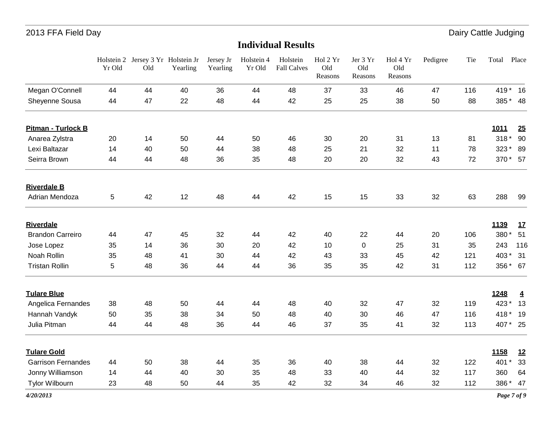|                           | Yr Old | Holstein 2 Jersey 3 Yr Holstein Jr<br>Old | Yearling | Jersey Jr<br>Yearling | Holstein 4<br>Yr Old | Holstein<br><b>Fall Calves</b> | Hol 2 Yr<br>Old<br>Reasons | Jer 3 Yr<br>Old<br>Reasons | Hol 4 Yr<br>Old<br>Reasons | Pedigree | Tie | Total       | Place          |
|---------------------------|--------|-------------------------------------------|----------|-----------------------|----------------------|--------------------------------|----------------------------|----------------------------|----------------------------|----------|-----|-------------|----------------|
| Megan O'Connell           | 44     | 44                                        | 40       | 36                    | 44                   | 48                             | 37                         | 33                         | 46                         | 47       | 116 | 419 * 16    |                |
| Sheyenne Sousa            | 44     | 47                                        | 22       | 48                    | 44                   | 42                             | 25                         | 25                         | 38                         | 50       | 88  | 385 * 48    |                |
| <b>Pitman - Turlock B</b> |        |                                           |          |                       |                      |                                |                            |                            |                            |          |     | <b>1011</b> | 25             |
| Anarea Zylstra            | 20     | 14                                        | 50       | 44                    | 50                   | 46                             | 30                         | 20                         | 31                         | 13       | 81  | $318*$      | 90             |
| Lexi Baltazar             | 14     | 40                                        | 50       | 44                    | 38                   | 48                             | 25                         | 21                         | 32                         | 11       | 78  | 323 * 89    |                |
| Seirra Brown              | 44     | 44                                        | 48       | 36                    | 35                   | 48                             | 20                         | 20                         | 32                         | 43       | 72  | 370 * 57    |                |
| <b>Riverdale B</b>        |        |                                           |          |                       |                      |                                |                            |                            |                            |          |     |             |                |
| Adrian Mendoza            | 5      | 42                                        | 12       | 48                    | 44                   | 42                             | 15                         | 15                         | 33                         | 32       | 63  | 288         | 99             |
| <b>Riverdale</b>          |        |                                           |          |                       |                      |                                |                            |                            |                            |          |     | 1139        | <u>17</u>      |
| <b>Brandon Carreiro</b>   | 44     | 47                                        | 45       | 32                    | 44                   | 42                             | 40                         | 22                         | 44                         | 20       | 106 | 380*        | 51             |
| Jose Lopez                | 35     | 14                                        | 36       | 30                    | 20                   | 42                             | 10                         | 0                          | 25                         | 31       | 35  | 243         | 116            |
| Noah Rollin               | 35     | 48                                        | 41       | 30                    | 44                   | 42                             | 43                         | 33                         | 45                         | 42       | 121 | 403*        | 31             |
| <b>Tristan Rollin</b>     | 5      | 48                                        | 36       | 44                    | 44                   | 36                             | 35                         | 35                         | 42                         | 31       | 112 | 356 * 67    |                |
| <b>Tulare Blue</b>        |        |                                           |          |                       |                      |                                |                            |                            |                            |          |     | 1248        | $\overline{4}$ |
| Angelica Fernandes        | 38     | 48                                        | 50       | 44                    | 44                   | 48                             | 40                         | 32                         | 47                         | 32       | 119 | 423*        | 13             |
| Hannah Vandyk             | 50     | 35                                        | 38       | 34                    | 50                   | 48                             | 40                         | 30                         | 46                         | 47       | 116 | 418*        | 19             |
| Julia Pitman              | 44     | 44                                        | 48       | 36                    | 44                   | 46                             | 37                         | 35                         | 41                         | 32       | 113 | 407 * 25    |                |
| <b>Tulare Gold</b>        |        |                                           |          |                       |                      |                                |                            |                            |                            |          |     | 1158        | 12             |
| <b>Garrison Fernandes</b> | 44     | 50                                        | 38       | 44                    | 35                   | 36                             | 40                         | 38                         | 44                         | 32       | 122 | 401         | 33             |
| Jonny Williamson          | 14     | 44                                        | 40       | 30                    | 35                   | 48                             | 33                         | 40                         | 44                         | 32       | 117 | 360         | 64             |
| <b>Tylor Wilbourn</b>     | 23     | 48                                        | 50       | 44                    | 35                   | 42                             | 32                         | 34                         | 46                         | 32       | 112 | 386*        | 47             |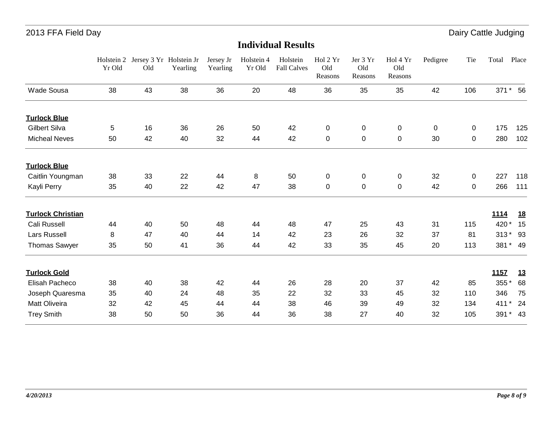|                          | Holstein 2<br>Yr Old | Jersey 3 Yr Holstein Jr<br>Old | Yearling | Jersey Jr<br>Yearling | Holstein 4<br>Yr Old | Holstein<br><b>Fall Calves</b> | Hol 2 Yr<br>Old<br>Reasons | Jer 3 Yr<br>Old<br>Reasons | Hol 4 Yr<br>Old<br>Reasons | Pedigree | Tie            | Total         | Place     |
|--------------------------|----------------------|--------------------------------|----------|-----------------------|----------------------|--------------------------------|----------------------------|----------------------------|----------------------------|----------|----------------|---------------|-----------|
| <b>Wade Sousa</b>        | 38                   | 43                             | 38       | 36                    | 20                   | 48                             | 36                         | 35                         | 35                         | 42       | 106            |               | 371 * 56  |
| <b>Turlock Blue</b>      |                      |                                |          |                       |                      |                                |                            |                            |                            |          |                |               |           |
| <b>Gilbert Silva</b>     | 5                    | 16                             | 36       | 26                    | 50                   | 42                             | 0                          | $\pmb{0}$                  | $\mathbf 0$                | 0        | $\overline{0}$ | 175           | 125       |
| <b>Micheal Neves</b>     | 50                   | 42                             | 40       | 32                    | 44                   | 42                             | $\pmb{0}$                  | $\pmb{0}$                  | $\mathbf 0$                | 30       | $\overline{0}$ | 280           | 102       |
| <b>Turlock Blue</b>      |                      |                                |          |                       |                      |                                |                            |                            |                            |          |                |               |           |
| Caitlin Youngman         | 38                   | 33                             | 22       | 44                    | 8                    | 50                             | 0                          | $\pmb{0}$                  | $\mathbf 0$                | 32       | $\mathbf 0$    | 227           | 118       |
| Kayli Perry              | 35                   | 40                             | 22       | 42                    | 47                   | 38                             | 0                          | $\pmb{0}$                  | $\mathbf 0$                | 42       | 0              | 266           | 111       |
| <b>Turlock Christian</b> |                      |                                |          |                       |                      |                                |                            |                            |                            |          |                | <u>1114</u>   | <u>18</u> |
| Cali Russell             | 44                   | 40                             | 50       | 48                    | 44                   | 48                             | 47                         | 25                         | 43                         | 31       | 115            | 420 *         | 15        |
| Lars Russell             | 8                    | 47                             | 40       | 44                    | 14                   | 42                             | 23                         | 26                         | 32                         | 37       | 81             | $313*$        | - 93      |
| <b>Thomas Sawyer</b>     | 35                   | 50                             | 41       | 36                    | 44                   | 42                             | 33                         | 35                         | 45                         | 20       | 113            |               | 381 * 49  |
| <b>Turlock Gold</b>      |                      |                                |          |                       |                      |                                |                            |                            |                            |          |                | 1157          | 13        |
| Elisah Pacheco           | 38                   | 40                             | 38       | 42                    | 44                   | 26                             | 28                         | 20                         | 37                         | 42       | 85             | 355*          | 68        |
| Joseph Quaresma          | 35                   | 40                             | 24       | 48                    | 35                   | 22                             | 32                         | 33                         | 45                         | 32       | 110            | 346           | 75        |
| Matt Oliveira            | 32                   | 42                             | 45       | 44                    | 44                   | 38                             | 46                         | 39                         | 49                         | 32       | 134            | 411<br>$\ast$ | 24        |
| <b>Trey Smith</b>        | 38                   | 50                             | 50       | 36                    | 44                   | 36                             | 38                         | 27                         | 40                         | 32       | 105            | $391*$        | 43        |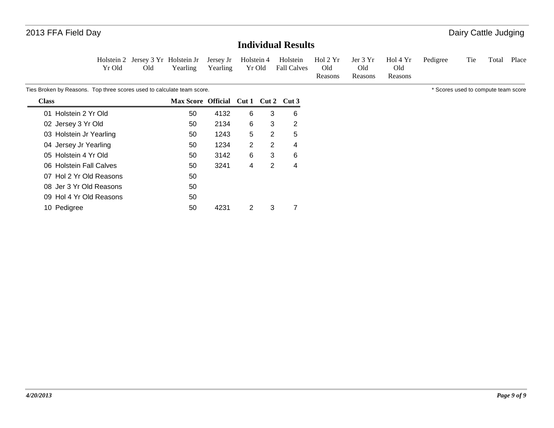#### **Individual Results**

|        |     |  | Holstein 2 Jersey 3 Yr Holstein Jr Jersey Jr Holstein 4 Holstein Hol 2 Yr Jer 3 Yr Hol 4 Yr Pedigree Tie Total Place |         |         |         |  |  |
|--------|-----|--|----------------------------------------------------------------------------------------------------------------------|---------|---------|---------|--|--|
| Yr Old | Old |  | Yearling Yearling Yr Old Fall Calves                                                                                 | Old     | Old     | Old     |  |  |
|        |     |  |                                                                                                                      | Reasons | Reasons | Reasons |  |  |

Ties Broken by Reasons. Top three scores used to calculate team score. The state of the scores used to compute team score sused to compute team score

| <b>Class</b>            | Max Score Official Cut 1 Cut 2 |      |   |   | Cut 3 |
|-------------------------|--------------------------------|------|---|---|-------|
| 01 Holstein 2 Yr Old    | 50                             | 4132 | 6 | 3 | 6     |
| 02 Jersey 3 Yr Old      | 50                             | 2134 | 6 | 3 | 2     |
| 03 Holstein Jr Yearling | 50                             | 1243 | 5 | 2 | 5     |
| 04 Jersey Jr Yearling   | 50                             | 1234 | 2 | 2 | 4     |
| 05 Holstein 4 Yr Old    | 50                             | 3142 | 6 | 3 | 6     |
| 06 Holstein Fall Calves | 50                             | 3241 | 4 | 2 | 4     |
| 07 Hol 2 Yr Old Reasons | 50                             |      |   |   |       |
| 08 Jer 3 Yr Old Reasons | 50                             |      |   |   |       |
| 09 Hol 4 Yr Old Reasons | 50                             |      |   |   |       |
| 10 Pedigree             | 50                             | 4231 | 2 | 3 |       |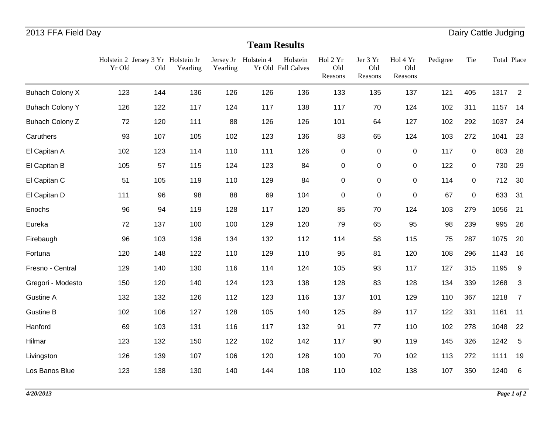## **Team Results**

|                        | Yr Old | Holstein 2 Jersey 3 Yr Holstein Jr<br>Old | Yearling | Yearling | Jersey Jr Holstein 4 | Holstein<br>Yr Old Fall Calves | Hol 2 Yr<br>Old<br>Reasons | Jer 3 Yr<br>Old<br>Reasons | Hol 4 Yr<br>Old<br>Reasons | Pedigree | Tie         | Total Place |                         |
|------------------------|--------|-------------------------------------------|----------|----------|----------------------|--------------------------------|----------------------------|----------------------------|----------------------------|----------|-------------|-------------|-------------------------|
| <b>Buhach Colony X</b> | 123    | 144                                       | 136      | 126      | 126                  | 136                            | 133                        | 135                        | 137                        | 121      | 405         | 1317        | 2                       |
| <b>Buhach Colony Y</b> | 126    | 122                                       | 117      | 124      | 117                  | 138                            | 117                        | 70                         | 124                        | 102      | 311         | 1157        | 14                      |
| <b>Buhach Colony Z</b> | 72     | 120                                       | 111      | 88       | 126                  | 126                            | 101                        | 64                         | 127                        | 102      | 292         | 1037        | 24                      |
| Caruthers              | 93     | 107                                       | 105      | 102      | 123                  | 136                            | 83                         | 65                         | 124                        | 103      | 272         | 1041        | 23                      |
| El Capitan A           | 102    | 123                                       | 114      | 110      | 111                  | 126                            | $\pmb{0}$                  | $\mathbf 0$                | $\pmb{0}$                  | 117      | $\mathbf 0$ | 803         | 28                      |
| El Capitan B           | 105    | 57                                        | 115      | 124      | 123                  | 84                             | $\pmb{0}$                  | $\pmb{0}$                  | 0                          | 122      | 0           | 730         | 29                      |
| El Capitan C           | 51     | 105                                       | 119      | 110      | 129                  | 84                             | $\pmb{0}$                  | 0                          | 0                          | 114      | 0           | 712         | - 30                    |
| El Capitan D           | 111    | 96                                        | 98       | 88       | 69                   | 104                            | $\pmb{0}$                  | $\mathsf 0$                | $\pmb{0}$                  | 67       | $\mathsf 0$ | 633         | 31                      |
| Enochs                 | 96     | 94                                        | 119      | 128      | 117                  | 120                            | 85                         | 70                         | 124                        | 103      | 279         | 1056        | 21                      |
| Eureka                 | 72     | 137                                       | 100      | 100      | 129                  | 120                            | 79                         | 65                         | 95                         | 98       | 239         | 995         | 26                      |
| Firebaugh              | 96     | 103                                       | 136      | 134      | 132                  | 112                            | 114                        | 58                         | 115                        | 75       | 287         | 1075        | 20                      |
| Fortuna                | 120    | 148                                       | 122      | 110      | 129                  | 110                            | 95                         | 81                         | 120                        | 108      | 296         | 1143        | 16                      |
| Fresno - Central       | 129    | 140                                       | 130      | 116      | 114                  | 124                            | 105                        | 93                         | 117                        | 127      | 315         | 1195        | 9                       |
| Gregori - Modesto      | 150    | 120                                       | 140      | 124      | 123                  | 138                            | 128                        | 83                         | 128                        | 134      | 339         | 1268        | $\overline{\mathbf{3}}$ |
| <b>Gustine A</b>       | 132    | 132                                       | 126      | 112      | 123                  | 116                            | 137                        | 101                        | 129                        | 110      | 367         | 1218        | $\overline{7}$          |
| <b>Gustine B</b>       | 102    | 106                                       | 127      | 128      | 105                  | 140                            | 125                        | 89                         | 117                        | 122      | 331         | 1161        | 11                      |
| Hanford                | 69     | 103                                       | 131      | 116      | 117                  | 132                            | 91                         | 77                         | 110                        | 102      | 278         | 1048        | 22                      |
| Hilmar                 | 123    | 132                                       | 150      | 122      | 102                  | 142                            | 117                        | 90                         | 119                        | 145      | 326         | 1242        | 5                       |
| Livingston             | 126    | 139                                       | 107      | 106      | 120                  | 128                            | 100                        | 70                         | 102                        | 113      | 272         | 1111        | 19                      |
| Los Banos Blue         | 123    | 138                                       | 130      | 140      | 144                  | 108                            | 110                        | 102                        | 138                        | 107      | 350         | 1240        | 6                       |